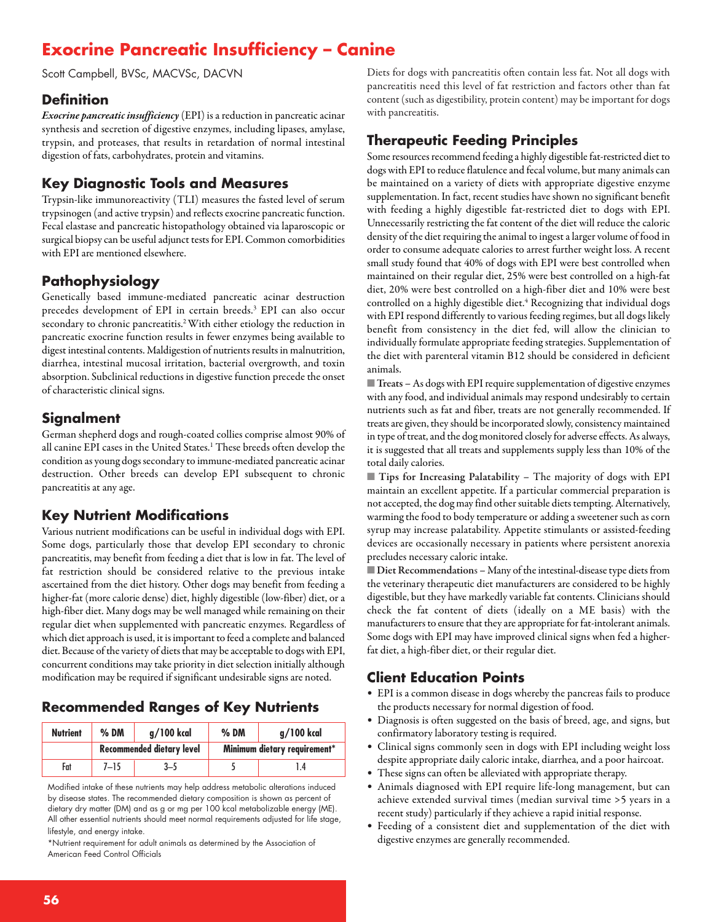# **Exocrine Pancreatic Insufficiency – Canine**

Scott Campbell, BVSc, MACVSc, DACVN

#### **Definition**

*Exocrine pancreatic insufficiency* (EPI) is a reduction in pancreatic acinar synthesis and secretion of digestive enzymes, including lipases, amylase, trypsin, and proteases, that results in retardation of normal intestinal digestion of fats, carbohydrates, protein and vitamins.

## **Key Diagnostic Tools and Measures**

Trypsin-like immunoreactivity (TLI) measures the fasted level of serum trypsinogen (and active trypsin) and reflects exocrine pancreatic function. Fecal elastase and pancreatic histopathology obtained via laparoscopic or surgical biopsy can be useful adjunct tests for EPI. Common comorbidities with EPI are mentioned elsewhere.

# **Pathophysiology**

Genetically based immune-mediated pancreatic acinar destruction precedes development of EPI in certain breeds. <sup>3</sup> EPI can also occur secondary to chronic pancreatitis. 2With either etiology the reduction in pancreatic exocrine function results in fewer enzymes being available to digest intestinal contents. Maldigestion of nutrients results in malnutrition, diarrhea, intestinal mucosal irritation, bacterial overgrowth, and toxin absorption. Subclinical reductions in digestive function precede the onset of characteristic clinical signs.

## **Signalment**

German shepherd dogs and rough-coated collies comprise almost 90% of all canine EPI cases in the United States. <sup>1</sup> These breeds often develop the condition as young dogs secondary to immune-mediated pancreatic acinar destruction. Other breeds can develop EPI subsequent to chronic pancreatitis at any age.

# **Key Nutrient Modifications**

Various nutrient modifications can be useful in individual dogs with EPI. Some dogs, particularly those that develop EPI secondary to chronic pancreatitis, may benefit from feeding a diet that is low in fat. The level of fat restriction should be considered relative to the previous intake ascertained from the diet history. Other dogs may benefit from feeding a higher-fat (more calorie dense) diet, highly digestible (low-fiber) diet, or a high-fiber diet. Many dogs may be well managed while remaining on their regular diet when supplemented with pancreatic enzymes. Regardless of which diet approach is used, it is important to feed a complete and balanced diet. Because of the variety of diets that may be acceptable to dogs with EPI, concurrent conditions may take priority in diet selection initially although modification may be required if significant undesirable signs are noted.

# **Recommended Ranges of Key Nutrients**

| <b>Nutrient</b> | $%$ DM                    | $q/100$ kcal | $%$ DM                       | g/100 kcal |
|-----------------|---------------------------|--------------|------------------------------|------------|
|                 | Recommended dietary level |              | Minimum dietary requirement* |            |
| Fat             | $7 - 15$                  | 3–5          |                              | l 4        |

Modified intake of these nutrients may help address metabolic alterations induced by disease states. The recommended dietary composition is shown as percent of dietary dry matter (DM) and as g or mg per 100 kcal metabolizable energy (ME). All other essential nutrients should meet normal requirements adjusted for life stage, lifestyle, and energy intake.

\*Nutrient requirement for adult animals as determined by the Association of American Feed Control Officials

Diets for dogs with pancreatitis often contain less fat. Not all dogs with pancreatitis need this level of fat restriction and factors other than fat content (such as digestibility, protein content) may be important for dogs with pancreatitis.

## **Therapeutic Feeding Principles**

Some resources recommend feeding a highly digestible fat-restricted diet to dogs with EPI to reduce flatulence and fecal volume, but many animals can be maintained on a variety of diets with appropriate digestive enzyme supplementation. In fact, recent studies have shown no significant benefit with feeding a highly digestible fat-restricted diet to dogs with EPI. Unnecessarily restricting the fat content of the diet will reduce the caloric density of the diet requiring the animal to ingest a larger volume of food in order to consume adequate calories to arrest further weight loss. A recent small study found that 40% of dogs with EPI were best controlled when maintained on their regular diet, 25% were best controlled on a high-fat diet, 20% were best controlled on a high-fiber diet and 10% were best controlled on a highly digestible diet. <sup>4</sup> Recognizing that individual dogs with EPI respond differently to various feeding regimes, butall dogs likely benefit from consistency in the diet fed, will allow the clinician to individually formulate appropriate feeding strategies. Supplementation of the diet with parenteral vitamin B12 should be considered in deficient animals.

■ **Treats** – As dogs with EPI require supplementation of digestive enzymes with any food, and individual animals may respond undesirably to certain nutrients such as fat and fiber, treats are not generally recommended. If treats are given, they should be incorporated slowly, consistency maintained in type of treat, and the dog monitored closely for adverse effects. As always, it is suggested that all treats and supplements supply less than 10% of the total daily calories.

■ **Tips for Increasing Palatability –** The majority of dogs with EPI maintain an excellent appetite. If a particular commercial preparation is not accepted, the dog may find other suitable diets tempting. Alternatively, warming the food to body temperature or adding a sweetener such as corn syrup may increase palatability. Appetite stimulants or assisted-feeding devices are occasionally necessary in patients where persistent anorexia precludes necessary caloric intake.

■ **Diet Recommendations** - Many of the intestinal-disease type diets from the veterinary therapeutic diet manufacturers are considered to be highly digestible, but they have markedly variable fat contents. Clinicians should check the fat content of diets (ideally on a ME basis) with the manufacturers to ensure that they are appropriate for fat-intolerant animals. Some dogs with EPI may have improved clinical signs when fed a higherfat diet, a high-fiber diet, or their regular diet.

## **Client Education Points**

- EPI is a common disease in dogs whereby the pancreas fails to produce the products necessary for normal digestion of food.
- Diagnosis is often suggested on the basis of breed, age, and signs, but confirmatory laboratory testing is required.
- Clinical signs commonly seen in dogs with EPI including weight loss despite appropriate daily caloric intake, diarrhea, and a poor haircoat.
- These signs can often be alleviated with appropriate therapy.
- Animals diagnosed with EPI require life-long management, but can achieve extended survival times (median survival time >5 years in a recent study) particularly if they achieve a rapid initial response.
- Feeding of a consistent diet and supplementation of the diet with digestive enzymes are generally recommended.